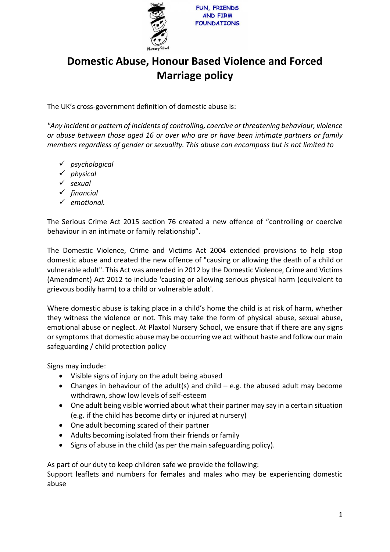

## **Domestic Abuse, Honour Based Violence and Forced Marriage policy**

The UK's cross-government definition of domestic abuse is:

*"Any incident or pattern of incidents of controlling, coercive or threatening behaviour, violence or abuse between those aged 16 or over who are or have been intimate partners or family members regardless of gender or sexuality. This abuse can encompass but is not limited to*

- ✓ *psychological*
- ✓ *physical*
- ✓ *sexual*
- ✓ *financial*
- ✓ *emotional.*

The Serious Crime Act 2015 section 76 created a new offence of "controlling or coercive behaviour in an intimate or family relationship".

The Domestic Violence, Crime and Victims Act 2004 extended provisions to help stop domestic abuse and created the new offence of "causing or allowing the death of a child or vulnerable adult". This Act was amended in 2012 by the Domestic Violence, Crime and Victims (Amendment) Act 2012 to include 'causing or allowing serious physical harm (equivalent to grievous bodily harm) to a child or vulnerable adult'.

Where domestic abuse is taking place in a child's home the child is at risk of harm, whether they witness the violence or not. This may take the form of physical abuse, sexual abuse, emotional abuse or neglect. At Plaxtol Nursery School, we ensure that if there are any signs or symptoms that domestic abuse may be occurring we act without haste and follow our main safeguarding / child protection policy

Signs may include:

- Visible signs of injury on the adult being abused
- Changes in behaviour of the adult(s) and child  $-$  e.g. the abused adult may become withdrawn, show low levels of self-esteem
- One adult being visible worried about what their partner may say in a certain situation (e.g. if the child has become dirty or injured at nursery)
- One adult becoming scared of their partner
- Adults becoming isolated from their friends or family
- Signs of abuse in the child (as per the main safeguarding policy).

As part of our duty to keep children safe we provide the following:

Support leaflets and numbers for females and males who may be experiencing domestic abuse